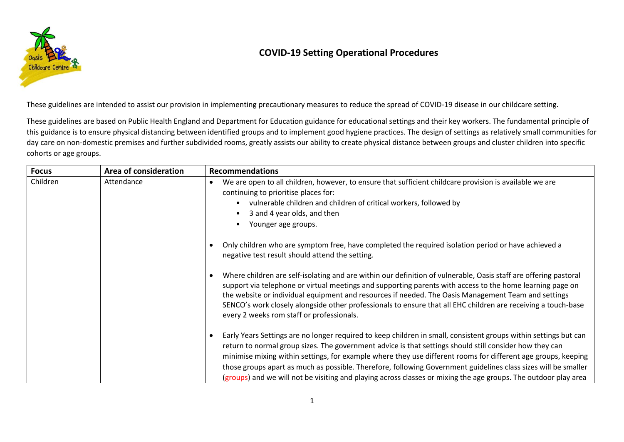

## **COVID-19 Setting Operational Procedures**

These guidelines are intended to assist our provision in implementing precautionary measures to reduce the spread of COVID-19 disease in our childcare setting.

These guidelines are based on Public Health England and Department for Education guidance for educational settings and their key workers. The fundamental principle of this guidance is to ensure physical distancing between identified groups and to implement good hygiene practices. The design of settings as relatively small communities for day care on non-domestic premises and further subdivided rooms, greatly assists our ability to create physical distance between groups and cluster children into specific cohorts or age groups.

| <b>Focus</b> | Area of consideration | <b>Recommendations</b>                                                                                                                                                                                                                                                                                                                                                                                                                                                                                                                                                            |
|--------------|-----------------------|-----------------------------------------------------------------------------------------------------------------------------------------------------------------------------------------------------------------------------------------------------------------------------------------------------------------------------------------------------------------------------------------------------------------------------------------------------------------------------------------------------------------------------------------------------------------------------------|
| Children     | Attendance            | We are open to all children, however, to ensure that sufficient childcare provision is available we are<br>continuing to prioritise places for:<br>vulnerable children and children of critical workers, followed by<br>3 and 4 year olds, and then<br>Younger age groups.                                                                                                                                                                                                                                                                                                        |
|              |                       | Only children who are symptom free, have completed the required isolation period or have achieved a<br>negative test result should attend the setting.                                                                                                                                                                                                                                                                                                                                                                                                                            |
|              |                       | Where children are self-isolating and are within our definition of vulnerable, Oasis staff are offering pastoral<br>support via telephone or virtual meetings and supporting parents with access to the home learning page on<br>the website or individual equipment and resources if needed. The Oasis Management Team and settings<br>SENCO's work closely alongside other professionals to ensure that all EHC children are receiving a touch-base<br>every 2 weeks rom staff or professionals.                                                                                |
|              |                       | Early Years Settings are no longer required to keep children in small, consistent groups within settings but can<br>return to normal group sizes. The government advice is that settings should still consider how they can<br>minimise mixing within settings, for example where they use different rooms for different age groups, keeping<br>those groups apart as much as possible. Therefore, following Government guidelines class sizes will be smaller<br>(groups) and we will not be visiting and playing across classes or mixing the age groups. The outdoor play area |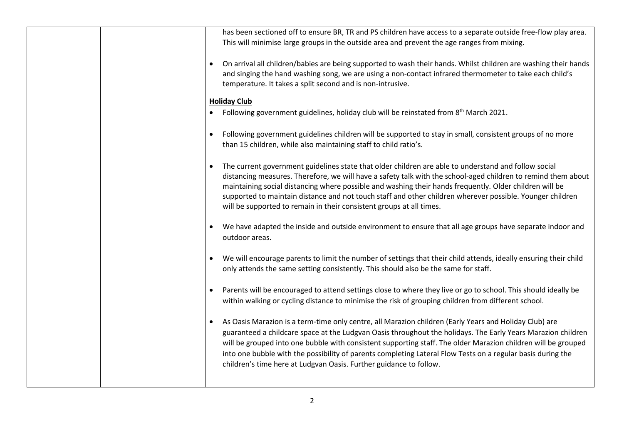| has been sectioned off to ensure BR, TR and PS children have access to a separate outside free-flow play area.<br>This will minimise large groups in the outside area and prevent the age ranges from mixing.                                                                                                                                                                                                                                                                                                                             |
|-------------------------------------------------------------------------------------------------------------------------------------------------------------------------------------------------------------------------------------------------------------------------------------------------------------------------------------------------------------------------------------------------------------------------------------------------------------------------------------------------------------------------------------------|
| On arrival all children/babies are being supported to wash their hands. Whilst children are washing their hands<br>and singing the hand washing song, we are using a non-contact infrared thermometer to take each child's<br>temperature. It takes a split second and is non-intrusive.                                                                                                                                                                                                                                                  |
| <b>Holiday Club</b>                                                                                                                                                                                                                                                                                                                                                                                                                                                                                                                       |
| Following government guidelines, holiday club will be reinstated from 8 <sup>th</sup> March 2021.                                                                                                                                                                                                                                                                                                                                                                                                                                         |
| Following government guidelines children will be supported to stay in small, consistent groups of no more<br>than 15 children, while also maintaining staff to child ratio's.                                                                                                                                                                                                                                                                                                                                                             |
| The current government guidelines state that older children are able to understand and follow social<br>distancing measures. Therefore, we will have a safety talk with the school-aged children to remind them about<br>maintaining social distancing where possible and washing their hands frequently. Older children will be<br>supported to maintain distance and not touch staff and other children wherever possible. Younger children<br>will be supported to remain in their consistent groups at all times.                     |
| We have adapted the inside and outside environment to ensure that all age groups have separate indoor and<br>outdoor areas.                                                                                                                                                                                                                                                                                                                                                                                                               |
| We will encourage parents to limit the number of settings that their child attends, ideally ensuring their child<br>only attends the same setting consistently. This should also be the same for staff.                                                                                                                                                                                                                                                                                                                                   |
| Parents will be encouraged to attend settings close to where they live or go to school. This should ideally be<br>within walking or cycling distance to minimise the risk of grouping children from different school.                                                                                                                                                                                                                                                                                                                     |
| As Oasis Marazion is a term-time only centre, all Marazion children (Early Years and Holiday Club) are<br>$\bullet$<br>guaranteed a childcare space at the Ludgvan Oasis throughout the holidays. The Early Years Marazion children<br>will be grouped into one bubble with consistent supporting staff. The older Marazion children will be grouped<br>into one bubble with the possibility of parents completing Lateral Flow Tests on a regular basis during the<br>children's time here at Ludgvan Oasis. Further guidance to follow. |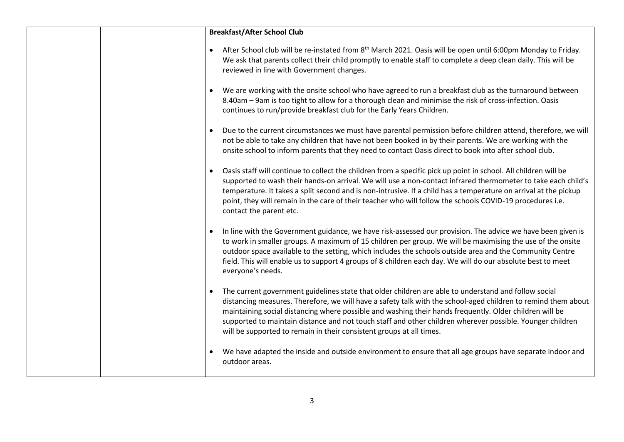|  | <b>Breakfast/After School Club</b>                                                                                                                                                                                                                                                                                                                                                                                                                                                                                    |
|--|-----------------------------------------------------------------------------------------------------------------------------------------------------------------------------------------------------------------------------------------------------------------------------------------------------------------------------------------------------------------------------------------------------------------------------------------------------------------------------------------------------------------------|
|  | After School club will be re-instated from 8 <sup>th</sup> March 2021. Oasis will be open until 6:00pm Monday to Friday.<br>We ask that parents collect their child promptly to enable staff to complete a deep clean daily. This will be<br>reviewed in line with Government changes.                                                                                                                                                                                                                                |
|  | We are working with the onsite school who have agreed to run a breakfast club as the turnaround between<br>8.40am - 9am is too tight to allow for a thorough clean and minimise the risk of cross-infection. Oasis<br>continues to run/provide breakfast club for the Early Years Children.                                                                                                                                                                                                                           |
|  | Due to the current circumstances we must have parental permission before children attend, therefore, we will<br>not be able to take any children that have not been booked in by their parents. We are working with the<br>onsite school to inform parents that they need to contact Oasis direct to book into after school club.                                                                                                                                                                                     |
|  | Oasis staff will continue to collect the children from a specific pick up point in school. All children will be<br>supported to wash their hands-on arrival. We will use a non-contact infrared thermometer to take each child's<br>temperature. It takes a split second and is non-intrusive. If a child has a temperature on arrival at the pickup<br>point, they will remain in the care of their teacher who will follow the schools COVID-19 procedures i.e.<br>contact the parent etc.                          |
|  | In line with the Government guidance, we have risk-assessed our provision. The advice we have been given is<br>to work in smaller groups. A maximum of 15 children per group. We will be maximising the use of the onsite<br>outdoor space available to the setting, which includes the schools outside area and the Community Centre<br>field. This will enable us to support 4 groups of 8 children each day. We will do our absolute best to meet<br>everyone's needs.                                             |
|  | The current government guidelines state that older children are able to understand and follow social<br>distancing measures. Therefore, we will have a safety talk with the school-aged children to remind them about<br>maintaining social distancing where possible and washing their hands frequently. Older children will be<br>supported to maintain distance and not touch staff and other children wherever possible. Younger children<br>will be supported to remain in their consistent groups at all times. |
|  | We have adapted the inside and outside environment to ensure that all age groups have separate indoor and<br>outdoor areas.                                                                                                                                                                                                                                                                                                                                                                                           |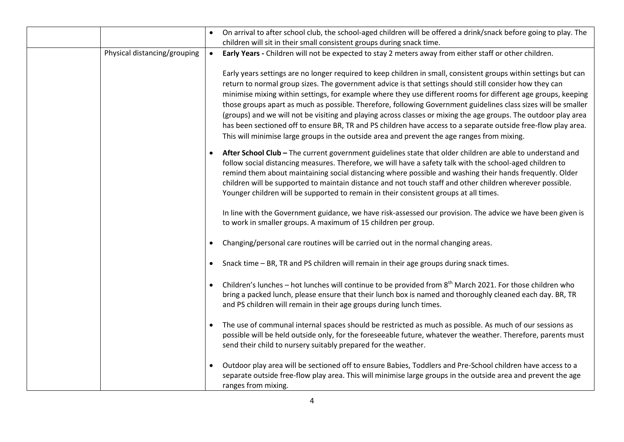|                              | $\bullet$ | On arrival to after school club, the school-aged children will be offered a drink/snack before going to play. The<br>children will sit in their small consistent groups during snack time.                                                                                                                                                                                                                                                                                                                                                                                                                                                                                                                                                                                                         |
|------------------------------|-----------|----------------------------------------------------------------------------------------------------------------------------------------------------------------------------------------------------------------------------------------------------------------------------------------------------------------------------------------------------------------------------------------------------------------------------------------------------------------------------------------------------------------------------------------------------------------------------------------------------------------------------------------------------------------------------------------------------------------------------------------------------------------------------------------------------|
| Physical distancing/grouping | $\bullet$ | Early Years - Children will not be expected to stay 2 meters away from either staff or other children.                                                                                                                                                                                                                                                                                                                                                                                                                                                                                                                                                                                                                                                                                             |
|                              |           | Early years settings are no longer required to keep children in small, consistent groups within settings but can<br>return to normal group sizes. The government advice is that settings should still consider how they can<br>minimise mixing within settings, for example where they use different rooms for different age groups, keeping<br>those groups apart as much as possible. Therefore, following Government guidelines class sizes will be smaller<br>(groups) and we will not be visiting and playing across classes or mixing the age groups. The outdoor play area<br>has been sectioned off to ensure BR, TR and PS children have access to a separate outside free-flow play area.<br>This will minimise large groups in the outside area and prevent the age ranges from mixing. |
|                              | $\bullet$ | After School Club - The current government guidelines state that older children are able to understand and<br>follow social distancing measures. Therefore, we will have a safety talk with the school-aged children to<br>remind them about maintaining social distancing where possible and washing their hands frequently. Older<br>children will be supported to maintain distance and not touch staff and other children wherever possible.<br>Younger children will be supported to remain in their consistent groups at all times.                                                                                                                                                                                                                                                          |
|                              |           | In line with the Government guidance, we have risk-assessed our provision. The advice we have been given is<br>to work in smaller groups. A maximum of 15 children per group.                                                                                                                                                                                                                                                                                                                                                                                                                                                                                                                                                                                                                      |
|                              |           | Changing/personal care routines will be carried out in the normal changing areas.                                                                                                                                                                                                                                                                                                                                                                                                                                                                                                                                                                                                                                                                                                                  |
|                              | $\bullet$ | Snack time - BR, TR and PS children will remain in their age groups during snack times.                                                                                                                                                                                                                                                                                                                                                                                                                                                                                                                                                                                                                                                                                                            |
|                              | $\bullet$ | Children's lunches - hot lunches will continue to be provided from 8 <sup>th</sup> March 2021. For those children who<br>bring a packed lunch, please ensure that their lunch box is named and thoroughly cleaned each day. BR, TR<br>and PS children will remain in their age groups during lunch times.                                                                                                                                                                                                                                                                                                                                                                                                                                                                                          |
|                              | $\bullet$ | The use of communal internal spaces should be restricted as much as possible. As much of our sessions as<br>possible will be held outside only, for the foreseeable future, whatever the weather. Therefore, parents must<br>send their child to nursery suitably prepared for the weather.                                                                                                                                                                                                                                                                                                                                                                                                                                                                                                        |
|                              | $\bullet$ | Outdoor play area will be sectioned off to ensure Babies, Toddlers and Pre-School children have access to a<br>separate outside free-flow play area. This will minimise large groups in the outside area and prevent the age<br>ranges from mixing.                                                                                                                                                                                                                                                                                                                                                                                                                                                                                                                                                |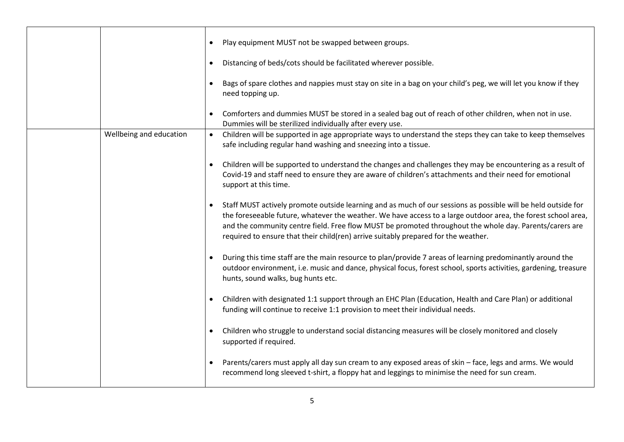|                         |           | Play equipment MUST not be swapped between groups.<br>Distancing of beds/cots should be facilitated wherever possible.<br>Bags of spare clothes and nappies must stay on site in a bag on your child's peg, we will let you know if they<br>need topping up.<br>Comforters and dummies MUST be stored in a sealed bag out of reach of other children, when not in use.<br>Dummies will be sterilized individually after every use. |
|-------------------------|-----------|------------------------------------------------------------------------------------------------------------------------------------------------------------------------------------------------------------------------------------------------------------------------------------------------------------------------------------------------------------------------------------------------------------------------------------|
| Wellbeing and education | $\bullet$ | Children will be supported in age appropriate ways to understand the steps they can take to keep themselves<br>safe including regular hand washing and sneezing into a tissue.                                                                                                                                                                                                                                                     |
|                         |           | Children will be supported to understand the changes and challenges they may be encountering as a result of<br>Covid-19 and staff need to ensure they are aware of children's attachments and their need for emotional<br>support at this time.                                                                                                                                                                                    |
|                         |           | Staff MUST actively promote outside learning and as much of our sessions as possible will be held outside for<br>the foreseeable future, whatever the weather. We have access to a large outdoor area, the forest school area,<br>and the community centre field. Free flow MUST be promoted throughout the whole day. Parents/carers are<br>required to ensure that their child(ren) arrive suitably prepared for the weather.    |
|                         |           | During this time staff are the main resource to plan/provide 7 areas of learning predominantly around the<br>outdoor environment, i.e. music and dance, physical focus, forest school, sports activities, gardening, treasure<br>hunts, sound walks, bug hunts etc.                                                                                                                                                                |
|                         |           | Children with designated 1:1 support through an EHC Plan (Education, Health and Care Plan) or additional<br>funding will continue to receive 1:1 provision to meet their individual needs.                                                                                                                                                                                                                                         |
|                         |           | Children who struggle to understand social distancing measures will be closely monitored and closely<br>supported if required.                                                                                                                                                                                                                                                                                                     |
|                         |           | Parents/carers must apply all day sun cream to any exposed areas of skin - face, legs and arms. We would<br>recommend long sleeved t-shirt, a floppy hat and leggings to minimise the need for sun cream.                                                                                                                                                                                                                          |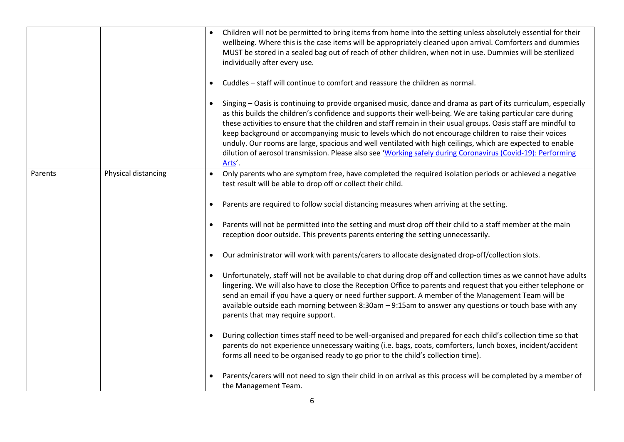|         |                     |           | Children will not be permitted to bring items from home into the setting unless absolutely essential for their<br>wellbeing. Where this is the case items will be appropriately cleaned upon arrival. Comforters and dummies<br>MUST be stored in a sealed bag out of reach of other children, when not in use. Dummies will be sterilized<br>individually after every use.                                                                                                                                                                                                                                                                                                                        |
|---------|---------------------|-----------|----------------------------------------------------------------------------------------------------------------------------------------------------------------------------------------------------------------------------------------------------------------------------------------------------------------------------------------------------------------------------------------------------------------------------------------------------------------------------------------------------------------------------------------------------------------------------------------------------------------------------------------------------------------------------------------------------|
|         |                     |           | Cuddles - staff will continue to comfort and reassure the children as normal.                                                                                                                                                                                                                                                                                                                                                                                                                                                                                                                                                                                                                      |
|         |                     |           | Singing - Oasis is continuing to provide organised music, dance and drama as part of its curriculum, especially<br>as this builds the children's confidence and supports their well-being. We are taking particular care during<br>these activities to ensure that the children and staff remain in their usual groups. Oasis staff are mindful to<br>keep background or accompanying music to levels which do not encourage children to raise their voices<br>unduly. Our rooms are large, spacious and well ventilated with high ceilings, which are expected to enable<br>dilution of aerosol transmission. Please also see 'Working safely during Coronavirus (Covid-19): Performing<br>Arts'. |
| Parents | Physical distancing | $\bullet$ | Only parents who are symptom free, have completed the required isolation periods or achieved a negative<br>test result will be able to drop off or collect their child.                                                                                                                                                                                                                                                                                                                                                                                                                                                                                                                            |
|         |                     | $\bullet$ | Parents are required to follow social distancing measures when arriving at the setting.                                                                                                                                                                                                                                                                                                                                                                                                                                                                                                                                                                                                            |
|         |                     |           | Parents will not be permitted into the setting and must drop off their child to a staff member at the main<br>reception door outside. This prevents parents entering the setting unnecessarily.                                                                                                                                                                                                                                                                                                                                                                                                                                                                                                    |
|         |                     | $\bullet$ | Our administrator will work with parents/carers to allocate designated drop-off/collection slots.                                                                                                                                                                                                                                                                                                                                                                                                                                                                                                                                                                                                  |
|         |                     | $\bullet$ | Unfortunately, staff will not be available to chat during drop off and collection times as we cannot have adults<br>lingering. We will also have to close the Reception Office to parents and request that you either telephone or<br>send an email if you have a query or need further support. A member of the Management Team will be<br>available outside each morning between 8:30am - 9:15am to answer any questions or touch base with any<br>parents that may require support.                                                                                                                                                                                                             |
|         |                     | $\bullet$ | During collection times staff need to be well-organised and prepared for each child's collection time so that<br>parents do not experience unnecessary waiting (i.e. bags, coats, comforters, lunch boxes, incident/accident<br>forms all need to be organised ready to go prior to the child's collection time).                                                                                                                                                                                                                                                                                                                                                                                  |
|         |                     |           | Parents/carers will not need to sign their child in on arrival as this process will be completed by a member of<br>the Management Team.                                                                                                                                                                                                                                                                                                                                                                                                                                                                                                                                                            |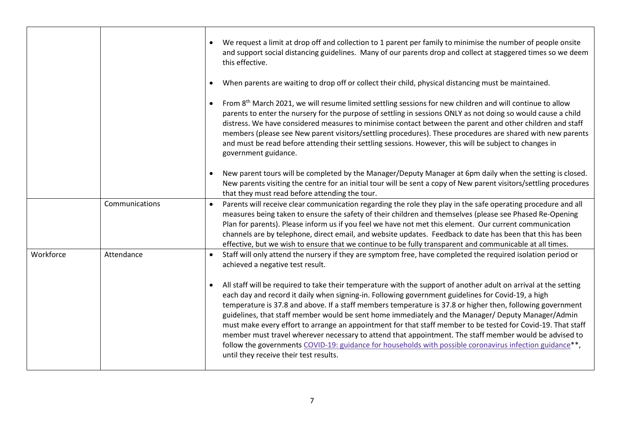|           |                | We request a limit at drop off and collection to 1 parent per family to minimise the number of people onsite<br>and support social distancing guidelines. Many of our parents drop and collect at staggered times so we deem<br>this effective.                                                                                                                                                                                                                                                                                                                                                                                                                                                                                                                                                                            |
|-----------|----------------|----------------------------------------------------------------------------------------------------------------------------------------------------------------------------------------------------------------------------------------------------------------------------------------------------------------------------------------------------------------------------------------------------------------------------------------------------------------------------------------------------------------------------------------------------------------------------------------------------------------------------------------------------------------------------------------------------------------------------------------------------------------------------------------------------------------------------|
|           |                | When parents are waiting to drop off or collect their child, physical distancing must be maintained.                                                                                                                                                                                                                                                                                                                                                                                                                                                                                                                                                                                                                                                                                                                       |
|           |                | From 8 <sup>th</sup> March 2021, we will resume limited settling sessions for new children and will continue to allow<br>parents to enter the nursery for the purpose of settling in sessions ONLY as not doing so would cause a child<br>distress. We have considered measures to minimise contact between the parent and other children and staff<br>members (please see New parent visitors/settling procedures). These procedures are shared with new parents<br>and must be read before attending their settling sessions. However, this will be subject to changes in<br>government guidance.                                                                                                                                                                                                                        |
|           |                | New parent tours will be completed by the Manager/Deputy Manager at 6pm daily when the setting is closed.<br>New parents visiting the centre for an initial tour will be sent a copy of New parent visitors/settling procedures<br>that they must read before attending the tour.                                                                                                                                                                                                                                                                                                                                                                                                                                                                                                                                          |
|           | Communications | Parents will receive clear communication regarding the role they play in the safe operating procedure and all<br>measures being taken to ensure the safety of their children and themselves (please see Phased Re-Opening<br>Plan for parents). Please inform us if you feel we have not met this element. Our current communication<br>channels are by telephone, direct email, and website updates. Feedback to date has been that this has been<br>effective, but we wish to ensure that we continue to be fully transparent and communicable at all times.                                                                                                                                                                                                                                                             |
| Workforce | Attendance     | Staff will only attend the nursery if they are symptom free, have completed the required isolation period or<br>achieved a negative test result.                                                                                                                                                                                                                                                                                                                                                                                                                                                                                                                                                                                                                                                                           |
|           |                | All staff will be required to take their temperature with the support of another adult on arrival at the setting<br>each day and record it daily when signing-in. Following government guidelines for Covid-19, a high<br>temperature is 37.8 and above. If a staff members temperature is 37.8 or higher then, following government<br>guidelines, that staff member would be sent home immediately and the Manager/ Deputy Manager/Admin<br>must make every effort to arrange an appointment for that staff member to be tested for Covid-19. That staff<br>member must travel wherever necessary to attend that appointment. The staff member would be advised to<br>follow the governments COVID-19: guidance for households with possible coronavirus infection guidance**,<br>until they receive their test results. |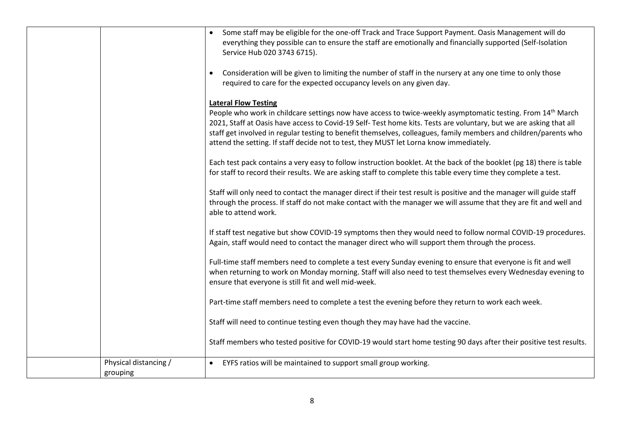|                       | Some staff may be eligible for the one-off Track and Trace Support Payment. Oasis Management will do<br>everything they possible can to ensure the staff are emotionally and financially supported (Self-Isolation<br>Service Hub 020 3743 6715).                                                                                                                                                                                                           |
|-----------------------|-------------------------------------------------------------------------------------------------------------------------------------------------------------------------------------------------------------------------------------------------------------------------------------------------------------------------------------------------------------------------------------------------------------------------------------------------------------|
|                       | Consideration will be given to limiting the number of staff in the nursery at any one time to only those<br>required to care for the expected occupancy levels on any given day.                                                                                                                                                                                                                                                                            |
|                       | <b>Lateral Flow Testing</b>                                                                                                                                                                                                                                                                                                                                                                                                                                 |
|                       | People who work in childcare settings now have access to twice-weekly asymptomatic testing. From 14 <sup>th</sup> March<br>2021, Staff at Oasis have access to Covid-19 Self- Test home kits. Tests are voluntary, but we are asking that all<br>staff get involved in regular testing to benefit themselves, colleagues, family members and children/parents who<br>attend the setting. If staff decide not to test, they MUST let Lorna know immediately. |
|                       | Each test pack contains a very easy to follow instruction booklet. At the back of the booklet (pg 18) there is table<br>for staff to record their results. We are asking staff to complete this table every time they complete a test.                                                                                                                                                                                                                      |
|                       | Staff will only need to contact the manager direct if their test result is positive and the manager will guide staff<br>through the process. If staff do not make contact with the manager we will assume that they are fit and well and<br>able to attend work.                                                                                                                                                                                            |
|                       | If staff test negative but show COVID-19 symptoms then they would need to follow normal COVID-19 procedures.<br>Again, staff would need to contact the manager direct who will support them through the process.                                                                                                                                                                                                                                            |
|                       | Full-time staff members need to complete a test every Sunday evening to ensure that everyone is fit and well<br>when returning to work on Monday morning. Staff will also need to test themselves every Wednesday evening to<br>ensure that everyone is still fit and well mid-week.                                                                                                                                                                        |
|                       | Part-time staff members need to complete a test the evening before they return to work each week.                                                                                                                                                                                                                                                                                                                                                           |
|                       | Staff will need to continue testing even though they may have had the vaccine.                                                                                                                                                                                                                                                                                                                                                                              |
|                       | Staff members who tested positive for COVID-19 would start home testing 90 days after their positive test results.                                                                                                                                                                                                                                                                                                                                          |
| Physical distancing / | EYFS ratios will be maintained to support small group working.                                                                                                                                                                                                                                                                                                                                                                                              |
| grouping              |                                                                                                                                                                                                                                                                                                                                                                                                                                                             |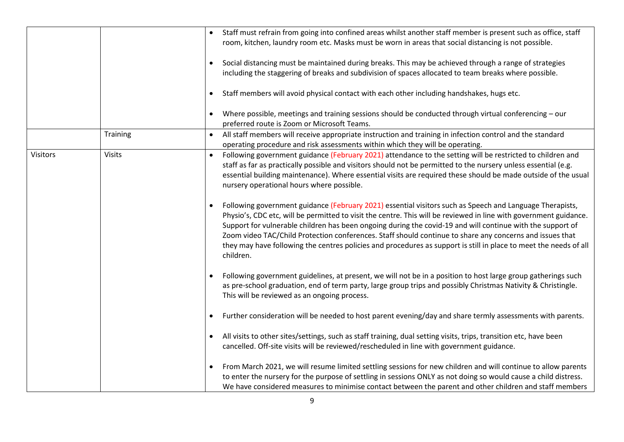|                 |               | Staff must refrain from going into confined areas whilst another staff member is present such as office, staff<br>room, kitchen, laundry room etc. Masks must be worn in areas that social distancing is not possible.                                                                                                                                                                                                                                                                                                                                                                         |
|-----------------|---------------|------------------------------------------------------------------------------------------------------------------------------------------------------------------------------------------------------------------------------------------------------------------------------------------------------------------------------------------------------------------------------------------------------------------------------------------------------------------------------------------------------------------------------------------------------------------------------------------------|
|                 |               | Social distancing must be maintained during breaks. This may be achieved through a range of strategies<br>$\bullet$<br>including the staggering of breaks and subdivision of spaces allocated to team breaks where possible.                                                                                                                                                                                                                                                                                                                                                                   |
|                 |               | Staff members will avoid physical contact with each other including handshakes, hugs etc.                                                                                                                                                                                                                                                                                                                                                                                                                                                                                                      |
|                 |               | Where possible, meetings and training sessions should be conducted through virtual conferencing - our<br>٠<br>preferred route is Zoom or Microsoft Teams.                                                                                                                                                                                                                                                                                                                                                                                                                                      |
|                 | Training      | All staff members will receive appropriate instruction and training in infection control and the standard<br>operating procedure and risk assessments within which they will be operating.                                                                                                                                                                                                                                                                                                                                                                                                     |
| <b>Visitors</b> | <b>Visits</b> | Following government guidance (February 2021) attendance to the setting will be restricted to children and<br>staff as far as practically possible and visitors should not be permitted to the nursery unless essential (e.g.<br>essential building maintenance). Where essential visits are required these should be made outside of the usual<br>nursery operational hours where possible.                                                                                                                                                                                                   |
|                 |               | Following government guidance (February 2021) essential visitors such as Speech and Language Therapists,<br>٠<br>Physio's, CDC etc, will be permitted to visit the centre. This will be reviewed in line with government guidance.<br>Support for vulnerable children has been ongoing during the covid-19 and will continue with the support of<br>Zoom video TAC/Child Protection conferences. Staff should continue to share any concerns and issues that<br>they may have following the centres policies and procedures as support is still in place to meet the needs of all<br>children. |
|                 |               | Following government guidelines, at present, we will not be in a position to host large group gatherings such<br>$\bullet$<br>as pre-school graduation, end of term party, large group trips and possibly Christmas Nativity & Christingle.<br>This will be reviewed as an ongoing process.                                                                                                                                                                                                                                                                                                    |
|                 |               | Further consideration will be needed to host parent evening/day and share termly assessments with parents.                                                                                                                                                                                                                                                                                                                                                                                                                                                                                     |
|                 |               | All visits to other sites/settings, such as staff training, dual setting visits, trips, transition etc, have been<br>cancelled. Off-site visits will be reviewed/rescheduled in line with government guidance.                                                                                                                                                                                                                                                                                                                                                                                 |
|                 |               | From March 2021, we will resume limited settling sessions for new children and will continue to allow parents<br>$\bullet$<br>to enter the nursery for the purpose of settling in sessions ONLY as not doing so would cause a child distress.<br>We have considered measures to minimise contact between the parent and other children and staff members                                                                                                                                                                                                                                       |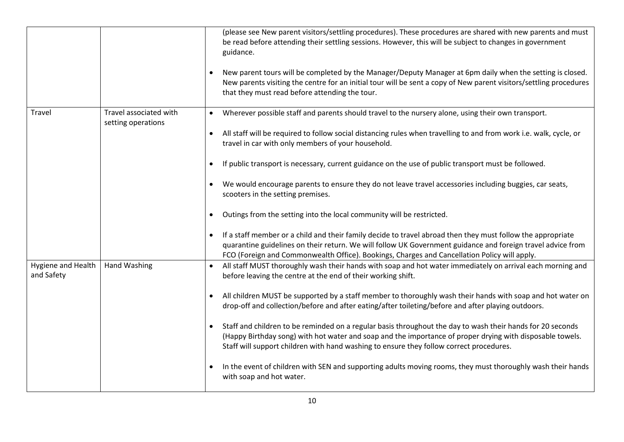|                                  |                        | (please see New parent visitors/settling procedures). These procedures are shared with new parents and must<br>be read before attending their settling sessions. However, this will be subject to changes in government<br>guidance.<br>New parent tours will be completed by the Manager/Deputy Manager at 6pm daily when the setting is closed.<br>New parents visiting the centre for an initial tour will be sent a copy of New parent visitors/settling procedures<br>that they must read before attending the tour. |
|----------------------------------|------------------------|---------------------------------------------------------------------------------------------------------------------------------------------------------------------------------------------------------------------------------------------------------------------------------------------------------------------------------------------------------------------------------------------------------------------------------------------------------------------------------------------------------------------------|
| Travel                           | Travel associated with | Wherever possible staff and parents should travel to the nursery alone, using their own transport.                                                                                                                                                                                                                                                                                                                                                                                                                        |
|                                  | setting operations     | All staff will be required to follow social distancing rules when travelling to and from work i.e. walk, cycle, or<br>$\bullet$<br>travel in car with only members of your household.                                                                                                                                                                                                                                                                                                                                     |
|                                  |                        | If public transport is necessary, current guidance on the use of public transport must be followed.                                                                                                                                                                                                                                                                                                                                                                                                                       |
|                                  |                        | We would encourage parents to ensure they do not leave travel accessories including buggies, car seats,<br>scooters in the setting premises.                                                                                                                                                                                                                                                                                                                                                                              |
|                                  |                        | Outings from the setting into the local community will be restricted.                                                                                                                                                                                                                                                                                                                                                                                                                                                     |
|                                  |                        | If a staff member or a child and their family decide to travel abroad then they must follow the appropriate<br>$\bullet$<br>quarantine guidelines on their return. We will follow UK Government guidance and foreign travel advice from<br>FCO (Foreign and Commonwealth Office). Bookings, Charges and Cancellation Policy will apply.                                                                                                                                                                                   |
| Hygiene and Health<br>and Safety | <b>Hand Washing</b>    | All staff MUST thoroughly wash their hands with soap and hot water immediately on arrival each morning and<br>$\bullet$<br>before leaving the centre at the end of their working shift.                                                                                                                                                                                                                                                                                                                                   |
|                                  |                        | All children MUST be supported by a staff member to thoroughly wash their hands with soap and hot water on<br>$\bullet$<br>drop-off and collection/before and after eating/after toileting/before and after playing outdoors.                                                                                                                                                                                                                                                                                             |
|                                  |                        | Staff and children to be reminded on a regular basis throughout the day to wash their hands for 20 seconds<br>$\bullet$<br>(Happy Birthday song) with hot water and soap and the importance of proper drying with disposable towels.<br>Staff will support children with hand washing to ensure they follow correct procedures.                                                                                                                                                                                           |
|                                  |                        | In the event of children with SEN and supporting adults moving rooms, they must thoroughly wash their hands<br>with soap and hot water.                                                                                                                                                                                                                                                                                                                                                                                   |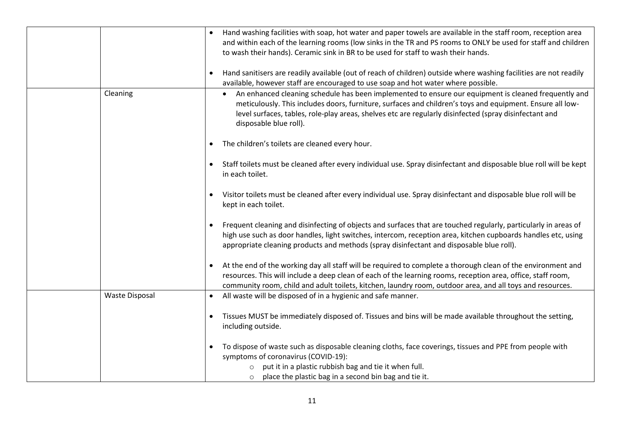|                       | Hand washing facilities with soap, hot water and paper towels are available in the staff room, reception area<br>and within each of the learning rooms (low sinks in the TR and PS rooms to ONLY be used for staff and children<br>to wash their hands). Ceramic sink in BR to be used for staff to wash their hands.                                              |
|-----------------------|--------------------------------------------------------------------------------------------------------------------------------------------------------------------------------------------------------------------------------------------------------------------------------------------------------------------------------------------------------------------|
|                       | Hand sanitisers are readily available (out of reach of children) outside where washing facilities are not readily<br>$\bullet$<br>available, however staff are encouraged to use soap and hot water where possible.                                                                                                                                                |
| Cleaning              | An enhanced cleaning schedule has been implemented to ensure our equipment is cleaned frequently and<br>$\bullet$<br>meticulously. This includes doors, furniture, surfaces and children's toys and equipment. Ensure all low-<br>level surfaces, tables, role-play areas, shelves etc are regularly disinfected (spray disinfectant and<br>disposable blue roll). |
|                       | The children's toilets are cleaned every hour.<br>$\bullet$                                                                                                                                                                                                                                                                                                        |
|                       | Staff toilets must be cleaned after every individual use. Spray disinfectant and disposable blue roll will be kept<br>$\bullet$<br>in each toilet.                                                                                                                                                                                                                 |
|                       | Visitor toilets must be cleaned after every individual use. Spray disinfectant and disposable blue roll will be<br>$\bullet$<br>kept in each toilet.                                                                                                                                                                                                               |
|                       | Frequent cleaning and disinfecting of objects and surfaces that are touched regularly, particularly in areas of<br>high use such as door handles, light switches, intercom, reception area, kitchen cupboards handles etc, using<br>appropriate cleaning products and methods (spray disinfectant and disposable blue roll).                                       |
|                       | At the end of the working day all staff will be required to complete a thorough clean of the environment and<br>resources. This will include a deep clean of each of the learning rooms, reception area, office, staff room,<br>community room, child and adult toilets, kitchen, laundry room, outdoor area, and all toys and resources.                          |
| <b>Waste Disposal</b> | All waste will be disposed of in a hygienic and safe manner.<br>$\bullet$                                                                                                                                                                                                                                                                                          |
|                       | Tissues MUST be immediately disposed of. Tissues and bins will be made available throughout the setting,<br>$\bullet$<br>including outside.                                                                                                                                                                                                                        |
|                       | To dispose of waste such as disposable cleaning cloths, face coverings, tissues and PPE from people with<br>$\bullet$<br>symptoms of coronavirus (COVID-19):<br>o put it in a plastic rubbish bag and tie it when full.                                                                                                                                            |
|                       | place the plastic bag in a second bin bag and tie it.<br>$\circ$                                                                                                                                                                                                                                                                                                   |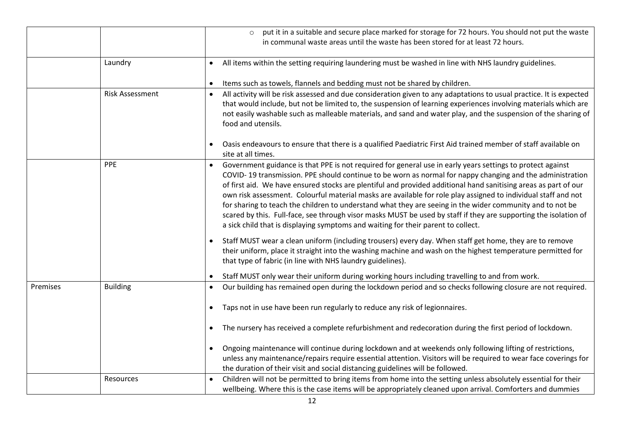|          |                        | put it in a suitable and secure place marked for storage for 72 hours. You should not put the waste<br>$\circ$<br>in communal waste areas until the waste has been stored for at least 72 hours.                                                                                                                                                                                                                                                                                                                                                                                                                                                                                                                                                                                   |
|----------|------------------------|------------------------------------------------------------------------------------------------------------------------------------------------------------------------------------------------------------------------------------------------------------------------------------------------------------------------------------------------------------------------------------------------------------------------------------------------------------------------------------------------------------------------------------------------------------------------------------------------------------------------------------------------------------------------------------------------------------------------------------------------------------------------------------|
|          | Laundry                | All items within the setting requiring laundering must be washed in line with NHS laundry guidelines.<br>$\bullet$                                                                                                                                                                                                                                                                                                                                                                                                                                                                                                                                                                                                                                                                 |
|          |                        | Items such as towels, flannels and bedding must not be shared by children.                                                                                                                                                                                                                                                                                                                                                                                                                                                                                                                                                                                                                                                                                                         |
|          | <b>Risk Assessment</b> | All activity will be risk assessed and due consideration given to any adaptations to usual practice. It is expected<br>$\bullet$<br>that would include, but not be limited to, the suspension of learning experiences involving materials which are<br>not easily washable such as malleable materials, and sand and water play, and the suspension of the sharing of<br>food and utensils.                                                                                                                                                                                                                                                                                                                                                                                        |
|          |                        | Oasis endeavours to ensure that there is a qualified Paediatric First Aid trained member of staff available on<br>site at all times.                                                                                                                                                                                                                                                                                                                                                                                                                                                                                                                                                                                                                                               |
|          | PPE                    | Government guidance is that PPE is not required for general use in early years settings to protect against<br>COVID-19 transmission. PPE should continue to be worn as normal for nappy changing and the administration<br>of first aid. We have ensured stocks are plentiful and provided additional hand sanitising areas as part of our<br>own risk assessment. Colourful material masks are available for role play assigned to individual staff and not<br>for sharing to teach the children to understand what they are seeing in the wider community and to not be<br>scared by this. Full-face, see through visor masks MUST be used by staff if they are supporting the isolation of<br>a sick child that is displaying symptoms and waiting for their parent to collect. |
|          |                        | Staff MUST wear a clean uniform (including trousers) every day. When staff get home, they are to remove<br>their uniform, place it straight into the washing machine and wash on the highest temperature permitted for<br>that type of fabric (in line with NHS laundry guidelines).                                                                                                                                                                                                                                                                                                                                                                                                                                                                                               |
|          |                        | Staff MUST only wear their uniform during working hours including travelling to and from work.                                                                                                                                                                                                                                                                                                                                                                                                                                                                                                                                                                                                                                                                                     |
| Premises | <b>Building</b>        | Our building has remained open during the lockdown period and so checks following closure are not required.<br>Taps not in use have been run regularly to reduce any risk of legionnaires.<br>$\bullet$                                                                                                                                                                                                                                                                                                                                                                                                                                                                                                                                                                            |
|          |                        | The nursery has received a complete refurbishment and redecoration during the first period of lockdown.<br>$\bullet$                                                                                                                                                                                                                                                                                                                                                                                                                                                                                                                                                                                                                                                               |
|          |                        | Ongoing maintenance will continue during lockdown and at weekends only following lifting of restrictions,<br>$\bullet$<br>unless any maintenance/repairs require essential attention. Visitors will be required to wear face coverings for<br>the duration of their visit and social distancing guidelines will be followed.                                                                                                                                                                                                                                                                                                                                                                                                                                                       |
|          | Resources              | Children will not be permitted to bring items from home into the setting unless absolutely essential for their<br>wellbeing. Where this is the case items will be appropriately cleaned upon arrival. Comforters and dummies                                                                                                                                                                                                                                                                                                                                                                                                                                                                                                                                                       |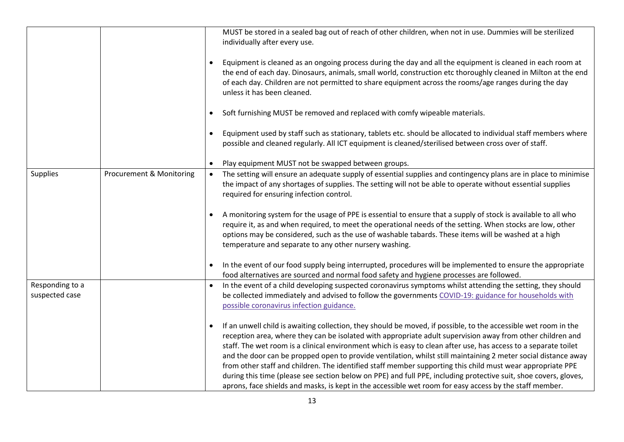|                                   |                          |           | MUST be stored in a sealed bag out of reach of other children, when not in use. Dummies will be sterilized<br>individually after every use.                                                                                                                                                                                                                                                                                                                                                                                                                                                                                                                                                                                                                                                                     |
|-----------------------------------|--------------------------|-----------|-----------------------------------------------------------------------------------------------------------------------------------------------------------------------------------------------------------------------------------------------------------------------------------------------------------------------------------------------------------------------------------------------------------------------------------------------------------------------------------------------------------------------------------------------------------------------------------------------------------------------------------------------------------------------------------------------------------------------------------------------------------------------------------------------------------------|
|                                   |                          | $\bullet$ | Equipment is cleaned as an ongoing process during the day and all the equipment is cleaned in each room at<br>the end of each day. Dinosaurs, animals, small world, construction etc thoroughly cleaned in Milton at the end<br>of each day. Children are not permitted to share equipment across the rooms/age ranges during the day<br>unless it has been cleaned.                                                                                                                                                                                                                                                                                                                                                                                                                                            |
|                                   |                          | $\bullet$ | Soft furnishing MUST be removed and replaced with comfy wipeable materials.                                                                                                                                                                                                                                                                                                                                                                                                                                                                                                                                                                                                                                                                                                                                     |
|                                   |                          | $\bullet$ | Equipment used by staff such as stationary, tablets etc. should be allocated to individual staff members where<br>possible and cleaned regularly. All ICT equipment is cleaned/sterilised between cross over of staff.                                                                                                                                                                                                                                                                                                                                                                                                                                                                                                                                                                                          |
|                                   |                          | $\bullet$ | Play equipment MUST not be swapped between groups.                                                                                                                                                                                                                                                                                                                                                                                                                                                                                                                                                                                                                                                                                                                                                              |
| <b>Supplies</b>                   | Procurement & Monitoring | $\bullet$ | The setting will ensure an adequate supply of essential supplies and contingency plans are in place to minimise<br>the impact of any shortages of supplies. The setting will not be able to operate without essential supplies<br>required for ensuring infection control.                                                                                                                                                                                                                                                                                                                                                                                                                                                                                                                                      |
|                                   |                          |           | A monitoring system for the usage of PPE is essential to ensure that a supply of stock is available to all who<br>require it, as and when required, to meet the operational needs of the setting. When stocks are low, other<br>options may be considered, such as the use of washable tabards. These items will be washed at a high<br>temperature and separate to any other nursery washing.                                                                                                                                                                                                                                                                                                                                                                                                                  |
|                                   |                          | $\bullet$ | In the event of our food supply being interrupted, procedures will be implemented to ensure the appropriate<br>food alternatives are sourced and normal food safety and hygiene processes are followed.                                                                                                                                                                                                                                                                                                                                                                                                                                                                                                                                                                                                         |
| Responding to a<br>suspected case |                          | $\bullet$ | In the event of a child developing suspected coronavirus symptoms whilst attending the setting, they should<br>be collected immediately and advised to follow the governments COVID-19: guidance for households with<br>possible coronavirus infection guidance.                                                                                                                                                                                                                                                                                                                                                                                                                                                                                                                                                |
|                                   |                          | $\bullet$ | If an unwell child is awaiting collection, they should be moved, if possible, to the accessible wet room in the<br>reception area, where they can be isolated with appropriate adult supervision away from other children and<br>staff. The wet room is a clinical environment which is easy to clean after use, has access to a separate toilet<br>and the door can be propped open to provide ventilation, whilst still maintaining 2 meter social distance away<br>from other staff and children. The identified staff member supporting this child must wear appropriate PPE<br>during this time (please see section below on PPE) and full PPE, including protective suit, shoe covers, gloves,<br>aprons, face shields and masks, is kept in the accessible wet room for easy access by the staff member. |